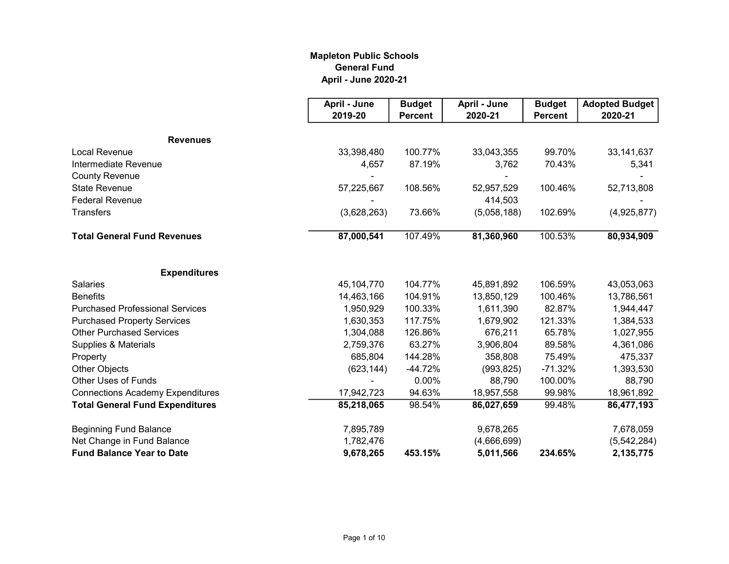## Mapleton Public Schools General Fund April - June 2020-21

|                                         | April - June | <b>Budget</b>  | April - June | <b>Budget</b>  | <b>Adopted Budget</b> |
|-----------------------------------------|--------------|----------------|--------------|----------------|-----------------------|
|                                         | 2019-20      | <b>Percent</b> | 2020-21      | <b>Percent</b> | 2020-21               |
| <b>Revenues</b>                         |              |                |              |                |                       |
| <b>Local Revenue</b>                    | 33,398,480   | 100.77%        | 33,043,355   | 99.70%         | 33, 141, 637          |
| Intermediate Revenue                    | 4,657        | 87.19%         | 3,762        | 70.43%         | 5,341                 |
| <b>County Revenue</b>                   |              |                |              |                |                       |
| <b>State Revenue</b>                    | 57,225,667   | 108.56%        | 52,957,529   | 100.46%        | 52,713,808            |
| <b>Federal Revenue</b>                  |              |                | 414,503      |                |                       |
| Transfers                               | (3,628,263)  | 73.66%         | (5,058,188)  | 102.69%        | (4,925,877)           |
| <b>Total General Fund Revenues</b>      | 87,000,541   | 107.49%        | 81,360,960   | 100.53%        | 80,934,909            |
| <b>Expenditures</b>                     |              |                |              |                |                       |
| <b>Salaries</b>                         | 45,104,770   | 104.77%        | 45,891,892   | 106.59%        | 43,053,063            |
| <b>Benefits</b>                         | 14,463,166   | 104.91%        | 13,850,129   | 100.46%        | 13,786,561            |
| <b>Purchased Professional Services</b>  | 1,950,929    | 100.33%        | 1,611,390    | 82.87%         | 1,944,447             |
| <b>Purchased Property Services</b>      | 1,630,353    | 117.75%        | 1,679,902    | 121.33%        | 1,384,533             |
| <b>Other Purchased Services</b>         | 1,304,088    | 126.86%        | 676,211      | 65.78%         | 1,027,955             |
| Supplies & Materials                    | 2,759,376    | 63.27%         | 3,906,804    | 89.58%         | 4,361,086             |
| Property                                | 685,804      | 144.28%        | 358,808      | 75.49%         | 475,337               |
| <b>Other Objects</b>                    | (623, 144)   | $-44.72%$      | (993, 825)   | $-71.32%$      | 1,393,530             |
| <b>Other Uses of Funds</b>              |              | 0.00%          | 88,790       | 100.00%        | 88,790                |
| <b>Connections Academy Expenditures</b> | 17,942,723   | 94.63%         | 18,957,558   | 99.98%         | 18,961,892            |
| <b>Total General Fund Expenditures</b>  | 85,218,065   | 98.54%         | 86,027,659   | 99.48%         | 86,477,193            |
| <b>Beginning Fund Balance</b>           | 7,895,789    |                | 9,678,265    |                | 7,678,059             |
| Net Change in Fund Balance              | 1,782,476    |                | (4,666,699)  |                | (5, 542, 284)         |
| <b>Fund Balance Year to Date</b>        | 9,678,265    | 453.15%        | 5,011,566    | 234.65%        | 2,135,775             |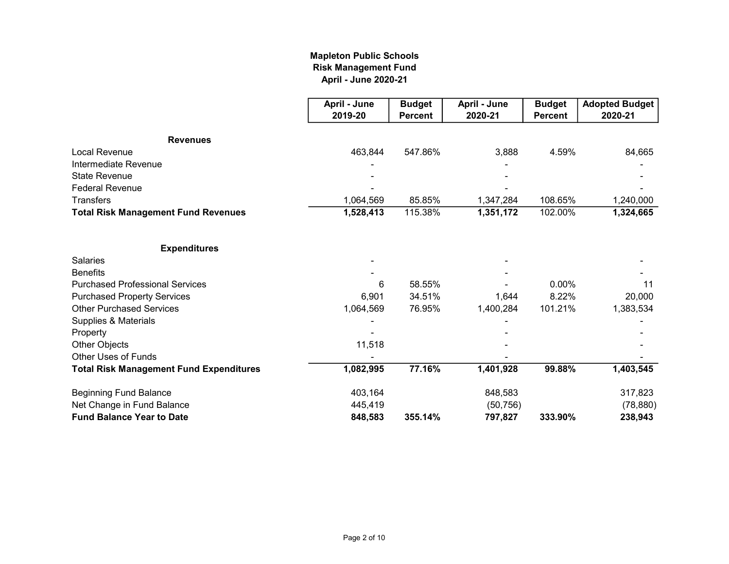## April - June 2020-21 Mapleton Public Schools Risk Management Fund

|                                                | April - June | <b>Budget</b>  | April - June | <b>Budget</b>  | <b>Adopted Budget</b> |
|------------------------------------------------|--------------|----------------|--------------|----------------|-----------------------|
|                                                | 2019-20      | <b>Percent</b> | 2020-21      | <b>Percent</b> | 2020-21               |
| <b>Revenues</b>                                |              |                |              |                |                       |
| Local Revenue                                  | 463,844      | 547.86%        | 3,888        | 4.59%          | 84,665                |
| Intermediate Revenue                           |              |                |              |                |                       |
| <b>State Revenue</b>                           |              |                |              |                |                       |
| <b>Federal Revenue</b>                         |              |                |              |                |                       |
| <b>Transfers</b>                               | 1,064,569    | 85.85%         | 1,347,284    | 108.65%        | 1,240,000             |
| <b>Total Risk Management Fund Revenues</b>     | 1,528,413    | 115.38%        | 1,351,172    | 102.00%        | 1,324,665             |
| <b>Expenditures</b>                            |              |                |              |                |                       |
| <b>Salaries</b>                                |              |                |              |                |                       |
| <b>Benefits</b>                                |              |                |              |                |                       |
| <b>Purchased Professional Services</b>         | 6            | 58.55%         |              | $0.00\%$       | 11                    |
| <b>Purchased Property Services</b>             | 6,901        | 34.51%         | 1,644        | 8.22%          | 20,000                |
| <b>Other Purchased Services</b>                | 1,064,569    | 76.95%         | 1,400,284    | 101.21%        | 1,383,534             |
| Supplies & Materials                           |              |                |              |                |                       |
| Property                                       |              |                |              |                |                       |
| Other Objects                                  | 11,518       |                |              |                |                       |
| <b>Other Uses of Funds</b>                     |              |                |              |                |                       |
| <b>Total Risk Management Fund Expenditures</b> | 1,082,995    | 77.16%         | 1,401,928    | 99.88%         | 1,403,545             |
| <b>Beginning Fund Balance</b>                  | 403,164      |                | 848,583      |                | 317,823               |
| Net Change in Fund Balance                     | 445,419      |                | (50, 756)    |                | (78, 880)             |
| <b>Fund Balance Year to Date</b>               | 848,583      | 355.14%        | 797,827      | 333.90%        | 238,943               |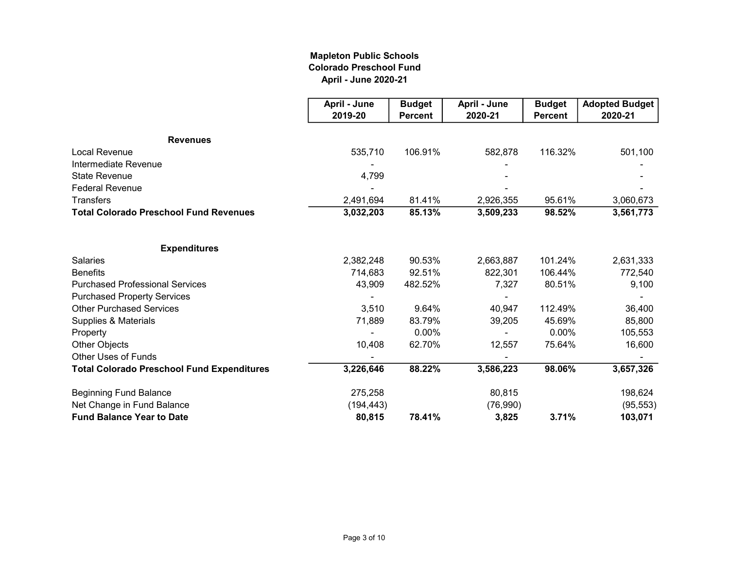## Mapleton Public Schools Colorado Preschool Fund April - June 2020-21

|                                                   | April - June | <b>Budget</b>  | April - June | <b>Budget</b>  | <b>Adopted Budget</b> |
|---------------------------------------------------|--------------|----------------|--------------|----------------|-----------------------|
|                                                   | 2019-20      | <b>Percent</b> | 2020-21      | <b>Percent</b> | 2020-21               |
| <b>Revenues</b>                                   |              |                |              |                |                       |
| <b>Local Revenue</b>                              | 535,710      | 106.91%        | 582,878      | 116.32%        | 501,100               |
| Intermediate Revenue                              |              |                |              |                |                       |
| <b>State Revenue</b>                              | 4,799        |                |              |                |                       |
| <b>Federal Revenue</b>                            |              |                |              |                |                       |
| <b>Transfers</b>                                  | 2,491,694    | 81.41%         | 2,926,355    | 95.61%         | 3,060,673             |
| <b>Total Colorado Preschool Fund Revenues</b>     | 3,032,203    | 85.13%         | 3,509,233    | 98.52%         | 3,561,773             |
| <b>Expenditures</b>                               |              |                |              |                |                       |
| <b>Salaries</b>                                   | 2,382,248    | 90.53%         | 2,663,887    | 101.24%        | 2,631,333             |
| <b>Benefits</b>                                   | 714,683      | 92.51%         | 822,301      | 106.44%        | 772,540               |
| <b>Purchased Professional Services</b>            | 43,909       | 482.52%        | 7,327        | 80.51%         | 9,100                 |
| <b>Purchased Property Services</b>                |              |                |              |                |                       |
| <b>Other Purchased Services</b>                   | 3,510        | 9.64%          | 40,947       | 112.49%        | 36,400                |
| Supplies & Materials                              | 71,889       | 83.79%         | 39,205       | 45.69%         | 85,800                |
| Property                                          |              | 0.00%          |              | 0.00%          | 105,553               |
| Other Objects                                     | 10,408       | 62.70%         | 12,557       | 75.64%         | 16,600                |
| <b>Other Uses of Funds</b>                        |              |                |              |                |                       |
| <b>Total Colorado Preschool Fund Expenditures</b> | 3,226,646    | 88.22%         | 3,586,223    | 98.06%         | 3,657,326             |
| <b>Beginning Fund Balance</b>                     | 275,258      |                | 80,815       |                | 198,624               |
| Net Change in Fund Balance                        | (194, 443)   |                | (76,990)     |                | (95, 553)             |
| <b>Fund Balance Year to Date</b>                  | 80,815       | 78.41%         | 3,825        | 3.71%          | 103,071               |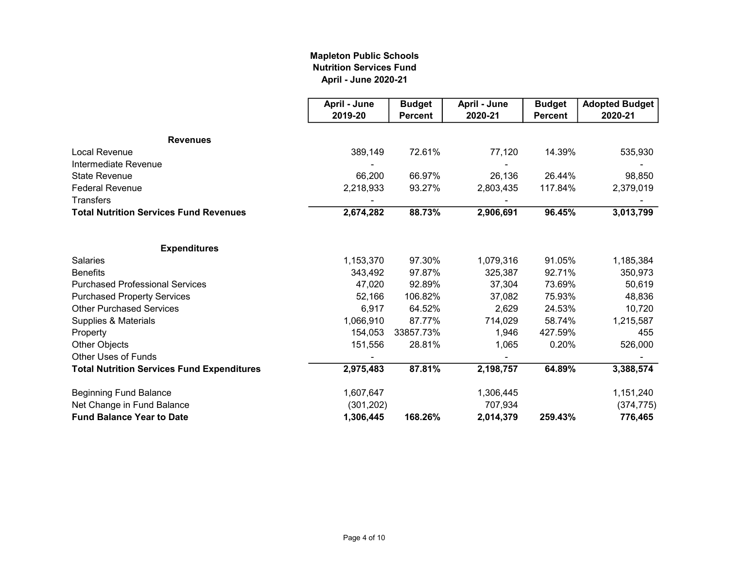## Mapleton Public Schools Nutrition Services Fund April - June 2020-21

|                                                   | April - June | <b>Budget</b>  | April - June | <b>Budget</b>  | <b>Adopted Budget</b> |
|---------------------------------------------------|--------------|----------------|--------------|----------------|-----------------------|
|                                                   | 2019-20      | <b>Percent</b> | 2020-21      | <b>Percent</b> | 2020-21               |
| <b>Revenues</b>                                   |              |                |              |                |                       |
| <b>Local Revenue</b>                              | 389,149      | 72.61%         | 77,120       | 14.39%         | 535,930               |
| Intermediate Revenue                              |              |                |              |                |                       |
| <b>State Revenue</b>                              | 66,200       | 66.97%         | 26,136       | 26.44%         | 98,850                |
| <b>Federal Revenue</b>                            | 2,218,933    | 93.27%         | 2,803,435    | 117.84%        | 2,379,019             |
| <b>Transfers</b>                                  |              |                |              |                |                       |
| <b>Total Nutrition Services Fund Revenues</b>     | 2,674,282    | 88.73%         | 2,906,691    | 96.45%         | 3,013,799             |
| <b>Expenditures</b>                               |              |                |              |                |                       |
| <b>Salaries</b>                                   | 1,153,370    | 97.30%         | 1,079,316    | 91.05%         | 1,185,384             |
| <b>Benefits</b>                                   | 343,492      | 97.87%         | 325,387      | 92.71%         | 350,973               |
| <b>Purchased Professional Services</b>            | 47,020       | 92.89%         | 37,304       | 73.69%         | 50,619                |
| <b>Purchased Property Services</b>                | 52,166       | 106.82%        | 37,082       | 75.93%         | 48,836                |
| <b>Other Purchased Services</b>                   | 6,917        | 64.52%         | 2,629        | 24.53%         | 10,720                |
| Supplies & Materials                              | 1,066,910    | 87.77%         | 714,029      | 58.74%         | 1,215,587             |
| Property                                          | 154,053      | 33857.73%      | 1,946        | 427.59%        | 455                   |
| Other Objects                                     | 151,556      | 28.81%         | 1,065        | 0.20%          | 526,000               |
| <b>Other Uses of Funds</b>                        |              |                |              |                |                       |
| <b>Total Nutrition Services Fund Expenditures</b> | 2,975,483    | 87.81%         | 2,198,757    | 64.89%         | 3,388,574             |
| <b>Beginning Fund Balance</b>                     | 1,607,647    |                | 1,306,445    |                | 1,151,240             |
| Net Change in Fund Balance                        | (301, 202)   |                | 707,934      |                | (374, 775)            |
| <b>Fund Balance Year to Date</b>                  | 1,306,445    | 168.26%        | 2,014,379    | 259.43%        | 776,465               |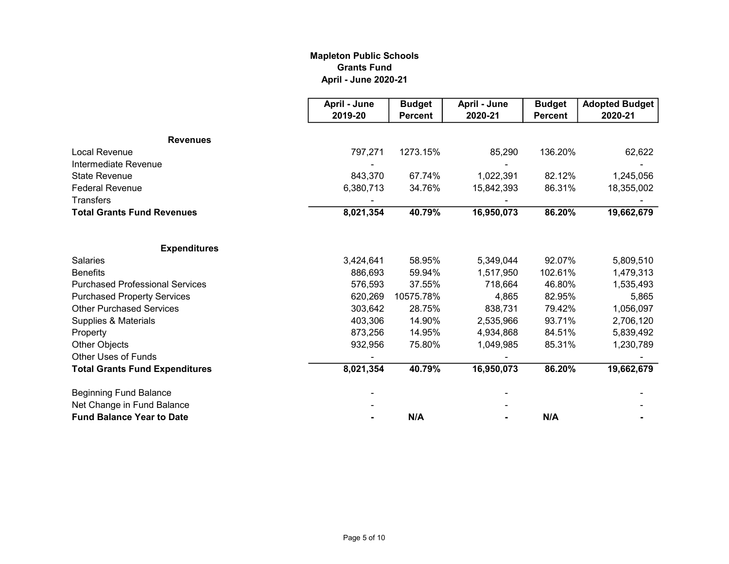## Mapleton Public Schools Grants Fund April - June 2020-21

|                                        | April - June | <b>Budget</b>  | April - June | <b>Budget</b>  | <b>Adopted Budget</b> |
|----------------------------------------|--------------|----------------|--------------|----------------|-----------------------|
|                                        | 2019-20      | <b>Percent</b> | 2020-21      | <b>Percent</b> | 2020-21               |
| <b>Revenues</b>                        |              |                |              |                |                       |
| <b>Local Revenue</b>                   | 797,271      | 1273.15%       | 85,290       | 136.20%        | 62,622                |
| Intermediate Revenue                   |              |                |              |                |                       |
| <b>State Revenue</b>                   | 843,370      | 67.74%         | 1,022,391    | 82.12%         | 1,245,056             |
| <b>Federal Revenue</b>                 | 6,380,713    | 34.76%         | 15,842,393   | 86.31%         | 18,355,002            |
| <b>Transfers</b>                       |              |                |              |                |                       |
| <b>Total Grants Fund Revenues</b>      | 8,021,354    | 40.79%         | 16,950,073   | 86.20%         | 19,662,679            |
| <b>Expenditures</b>                    |              |                |              |                |                       |
| <b>Salaries</b>                        | 3,424,641    | 58.95%         | 5,349,044    | 92.07%         | 5,809,510             |
| <b>Benefits</b>                        | 886,693      | 59.94%         | 1,517,950    | 102.61%        | 1,479,313             |
| <b>Purchased Professional Services</b> | 576,593      | 37.55%         | 718,664      | 46.80%         | 1,535,493             |
| <b>Purchased Property Services</b>     | 620,269      | 10575.78%      | 4,865        | 82.95%         | 5,865                 |
| <b>Other Purchased Services</b>        | 303,642      | 28.75%         | 838,731      | 79.42%         | 1,056,097             |
| Supplies & Materials                   | 403,306      | 14.90%         | 2,535,966    | 93.71%         | 2,706,120             |
| Property                               | 873,256      | 14.95%         | 4,934,868    | 84.51%         | 5,839,492             |
| Other Objects                          | 932,956      | 75.80%         | 1,049,985    | 85.31%         | 1,230,789             |
| <b>Other Uses of Funds</b>             |              |                |              |                |                       |
| <b>Total Grants Fund Expenditures</b>  | 8,021,354    | 40.79%         | 16,950,073   | 86.20%         | 19,662,679            |
| <b>Beginning Fund Balance</b>          |              |                |              |                |                       |
| Net Change in Fund Balance             |              |                |              |                |                       |
| <b>Fund Balance Year to Date</b>       |              | N/A            |              | N/A            |                       |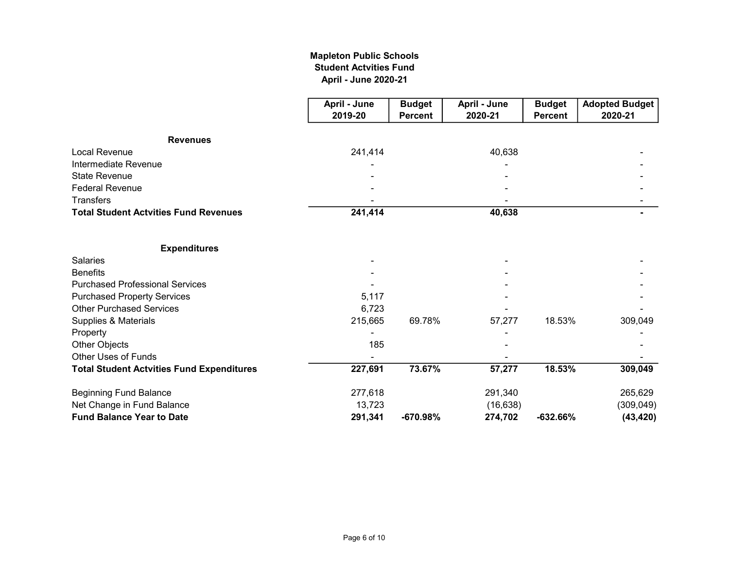## April - June 2020-21 Mapleton Public Schools Student Actvities Fund

|                                                  | April - June | <b>Budget</b>  | April - June | <b>Budget</b>  | <b>Adopted Budget</b> |
|--------------------------------------------------|--------------|----------------|--------------|----------------|-----------------------|
|                                                  | 2019-20      | <b>Percent</b> | 2020-21      | <b>Percent</b> | 2020-21               |
| <b>Revenues</b>                                  |              |                |              |                |                       |
| <b>Local Revenue</b>                             | 241,414      |                | 40,638       |                |                       |
| Intermediate Revenue                             |              |                |              |                |                       |
| <b>State Revenue</b>                             |              |                |              |                |                       |
| <b>Federal Revenue</b>                           |              |                |              |                |                       |
| <b>Transfers</b>                                 |              |                |              |                |                       |
| <b>Total Student Actvities Fund Revenues</b>     | 241,414      |                | 40,638       |                |                       |
| <b>Expenditures</b>                              |              |                |              |                |                       |
| <b>Salaries</b>                                  |              |                |              |                |                       |
| <b>Benefits</b>                                  |              |                |              |                |                       |
| <b>Purchased Professional Services</b>           |              |                |              |                |                       |
| <b>Purchased Property Services</b>               | 5,117        |                |              |                |                       |
| <b>Other Purchased Services</b>                  | 6,723        |                |              |                |                       |
| Supplies & Materials                             | 215,665      | 69.78%         | 57,277       | 18.53%         | 309,049               |
| Property                                         |              |                |              |                |                       |
| Other Objects                                    | 185          |                |              |                |                       |
| <b>Other Uses of Funds</b>                       |              |                |              |                |                       |
| <b>Total Student Actvities Fund Expenditures</b> | 227,691      | 73.67%         | 57,277       | 18.53%         | 309,049               |
| <b>Beginning Fund Balance</b>                    | 277,618      |                | 291,340      |                | 265,629               |
| Net Change in Fund Balance                       | 13,723       |                | (16, 638)    |                | (309,049)             |
| <b>Fund Balance Year to Date</b>                 | 291,341      | -670.98%       | 274,702      | $-632.66%$     | (43, 420)             |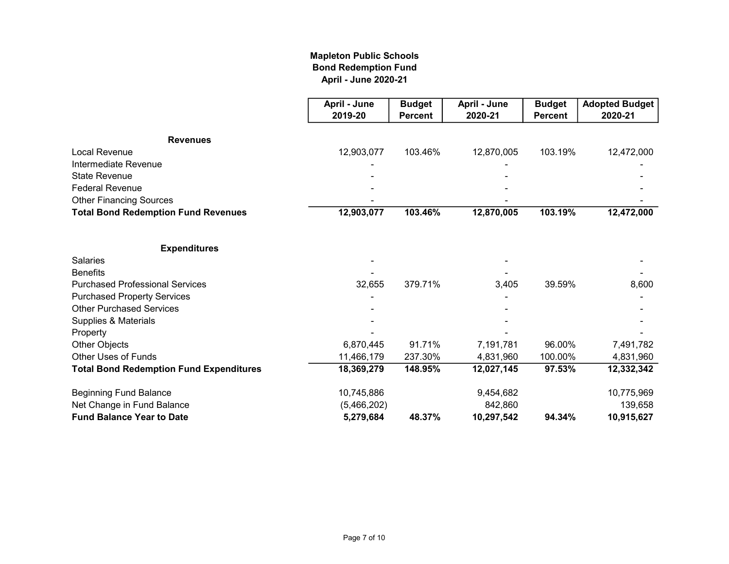## Mapleton Public Schools Bond Redemption Fund April - June 2020-21

|                                                | April - June | <b>Budget</b>  | April - June | <b>Budget</b>  | <b>Adopted Budget</b> |
|------------------------------------------------|--------------|----------------|--------------|----------------|-----------------------|
|                                                | 2019-20      | <b>Percent</b> | 2020-21      | <b>Percent</b> | 2020-21               |
|                                                |              |                |              |                |                       |
| <b>Revenues</b>                                |              |                |              |                |                       |
| <b>Local Revenue</b>                           | 12,903,077   | 103.46%        | 12,870,005   | 103.19%        | 12,472,000            |
| Intermediate Revenue                           |              |                |              |                |                       |
| <b>State Revenue</b>                           |              |                |              |                |                       |
| <b>Federal Revenue</b>                         |              |                |              |                |                       |
| <b>Other Financing Sources</b>                 |              |                |              |                |                       |
| <b>Total Bond Redemption Fund Revenues</b>     | 12,903,077   | 103.46%        | 12,870,005   | $103.19\%$     | 12,472,000            |
| <b>Expenditures</b>                            |              |                |              |                |                       |
| <b>Salaries</b>                                |              |                |              |                |                       |
| <b>Benefits</b>                                |              |                |              |                |                       |
| <b>Purchased Professional Services</b>         | 32,655       | 379.71%        | 3,405        | 39.59%         | 8,600                 |
| <b>Purchased Property Services</b>             |              |                |              |                |                       |
| <b>Other Purchased Services</b>                |              |                |              |                |                       |
| Supplies & Materials                           |              |                |              |                |                       |
| Property                                       |              |                |              |                |                       |
| Other Objects                                  | 6,870,445    | 91.71%         | 7,191,781    | 96.00%         | 7,491,782             |
| <b>Other Uses of Funds</b>                     | 11,466,179   | 237.30%        | 4,831,960    | 100.00%        | 4,831,960             |
| <b>Total Bond Redemption Fund Expenditures</b> | 18,369,279   | 148.95%        | 12,027,145   | 97.53%         | 12,332,342            |
| <b>Beginning Fund Balance</b>                  | 10,745,886   |                | 9,454,682    |                | 10,775,969            |
| Net Change in Fund Balance                     | (5,466,202)  |                | 842,860      |                | 139,658               |
| <b>Fund Balance Year to Date</b>               | 5,279,684    | 48.37%         | 10,297,542   | 94.34%         | 10,915,627            |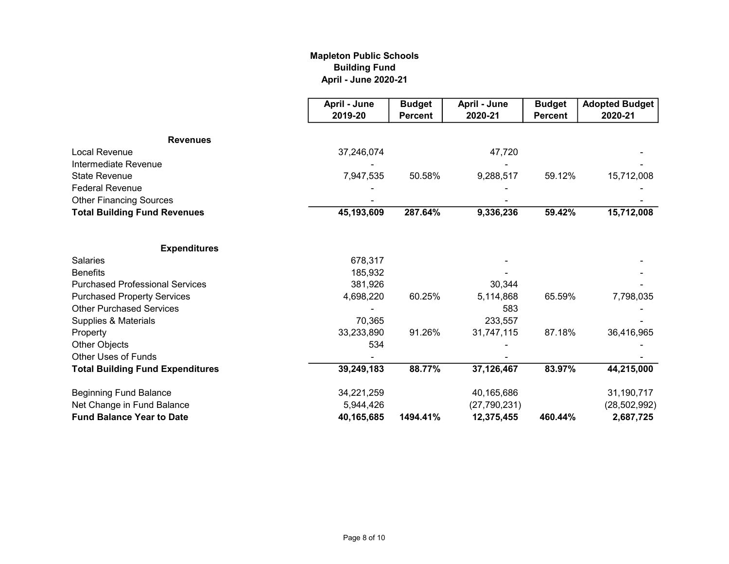## Mapleton Public Schools Building Fund April - June 2020-21

|                                         | April - June | <b>Budget</b>  | April - June   | <b>Budget</b>  | <b>Adopted Budget</b> |
|-----------------------------------------|--------------|----------------|----------------|----------------|-----------------------|
|                                         | 2019-20      | <b>Percent</b> | 2020-21        | <b>Percent</b> | 2020-21               |
| <b>Revenues</b>                         |              |                |                |                |                       |
| <b>Local Revenue</b>                    | 37,246,074   |                | 47,720         |                |                       |
| Intermediate Revenue                    |              |                |                |                |                       |
| <b>State Revenue</b>                    | 7,947,535    | 50.58%         | 9,288,517      | 59.12%         | 15,712,008            |
| <b>Federal Revenue</b>                  |              |                |                |                |                       |
| <b>Other Financing Sources</b>          |              |                |                |                |                       |
| <b>Total Building Fund Revenues</b>     | 45,193,609   | 287.64%        | 9,336,236      | 59.42%         | 15,712,008            |
| <b>Expenditures</b>                     |              |                |                |                |                       |
| <b>Salaries</b>                         | 678,317      |                |                |                |                       |
| <b>Benefits</b>                         | 185,932      |                |                |                |                       |
| <b>Purchased Professional Services</b>  | 381,926      |                | 30,344         |                |                       |
| <b>Purchased Property Services</b>      | 4,698,220    | 60.25%         | 5,114,868      | 65.59%         | 7,798,035             |
| <b>Other Purchased Services</b>         |              |                | 583            |                |                       |
| Supplies & Materials                    | 70,365       |                | 233,557        |                |                       |
| Property                                | 33,233,890   | 91.26%         | 31,747,115     | 87.18%         | 36,416,965            |
| Other Objects                           | 534          |                |                |                |                       |
| Other Uses of Funds                     |              |                |                |                |                       |
| <b>Total Building Fund Expenditures</b> | 39,249,183   | 88.77%         | 37,126,467     | 83.97%         | 44,215,000            |
| <b>Beginning Fund Balance</b>           | 34,221,259   |                | 40,165,686     |                | 31,190,717            |
| Net Change in Fund Balance              | 5,944,426    |                | (27, 790, 231) |                | (28, 502, 992)        |
| <b>Fund Balance Year to Date</b>        | 40,165,685   | 1494.41%       | 12,375,455     | 460.44%        | 2,687,725             |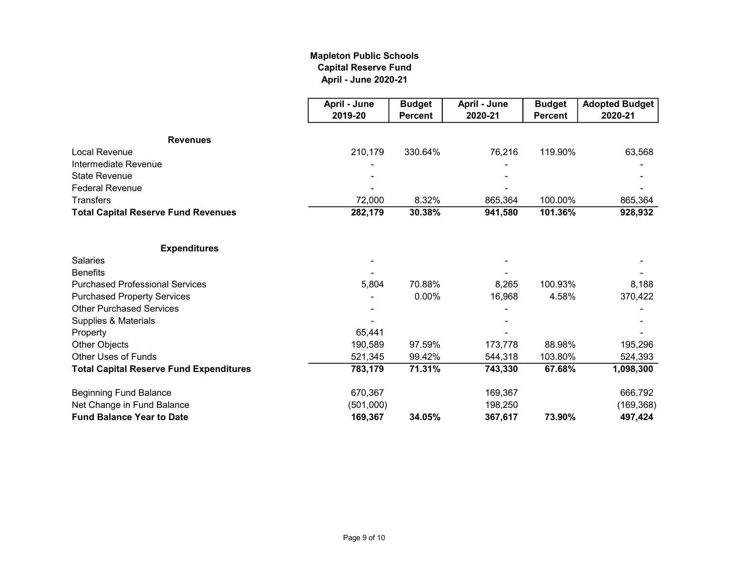## Mapleton Public Schools Capital Reserve Fund April - June 2020-21

|                                                | April - June | <b>Budget</b>  | April - June | <b>Budget</b>  | <b>Adopted Budget</b> |
|------------------------------------------------|--------------|----------------|--------------|----------------|-----------------------|
|                                                | 2019-20      | <b>Percent</b> | 2020-21      | <b>Percent</b> | 2020-21               |
| <b>Revenues</b>                                |              |                |              |                |                       |
| <b>Local Revenue</b>                           | 210,179      | 330.64%        | 76,216       | 119.90%        | 63,568                |
| Intermediate Revenue                           |              |                |              |                |                       |
| <b>State Revenue</b>                           |              |                |              |                |                       |
| <b>Federal Revenue</b>                         |              |                |              |                |                       |
| <b>Transfers</b>                               | 72,000       | 8.32%          | 865,364      | 100.00%        | 865,364               |
| <b>Total Capital Reserve Fund Revenues</b>     | 282,179      | 30.38%         | 941,580      | 101.36%        | 928,932               |
| <b>Expenditures</b>                            |              |                |              |                |                       |
| <b>Salaries</b>                                |              |                |              |                |                       |
| <b>Benefits</b>                                |              |                |              |                |                       |
| <b>Purchased Professional Services</b>         | 5,804        | 70.88%         | 8,265        | 100.93%        | 8,188                 |
| <b>Purchased Property Services</b>             |              | 0.00%          | 16,968       | 4.58%          | 370,422               |
| <b>Other Purchased Services</b>                |              |                |              |                |                       |
| Supplies & Materials                           |              |                |              |                |                       |
| Property                                       | 65,441       |                |              |                |                       |
| Other Objects                                  | 190,589      | 97.59%         | 173,778      | 88.98%         | 195,296               |
| <b>Other Uses of Funds</b>                     | 521,345      | 99.42%         | 544,318      | 103.80%        | 524,393               |
| <b>Total Capital Reserve Fund Expenditures</b> | 783,179      | 71.31%         | 743,330      | 67.68%         | 1,098,300             |
| <b>Beginning Fund Balance</b>                  | 670,367      |                | 169,367      |                | 666,792               |
| Net Change in Fund Balance                     | (501,000)    |                | 198,250      |                | (169, 368)            |
| <b>Fund Balance Year to Date</b>               | 169,367      | 34.05%         | 367,617      | 73.90%         | 497,424               |